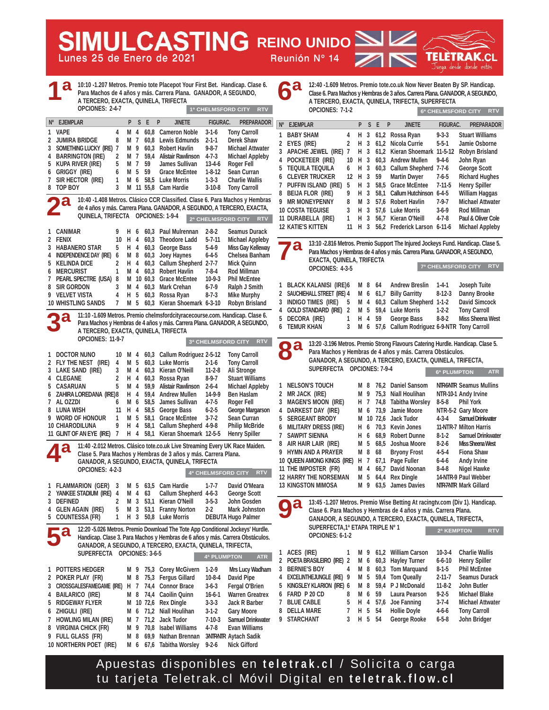**Lunes 25 de Enero de 2021 Reunión Nº 14 MULCASTING REINO UNIDO** 



**12:40 -1.609 Metros. Premio tote.co.uk Now Never Beaten By SP. Handicap. Clase 6. Para Machos y Hembras de 3 años. Carrera Plana. GANADOR, A SEGUNDO, A TERCERO, EXACTA, QUINELA, TRIFECTA, SUPERFECTA OPCIONES: 7-1-2 6ª 6ª CHELMSFORD CITY RTV**

|        |                                | A TERCERO, EXACTA, QUINELA, TRIFECTA<br>OPCIONES: 2-4-7 |              |                 |                |              |                                                                                |                            | 1ª CHELMSFORD CITY RTV                            |   |                                | OPCIONES: 7-1-2                                      |           |          |                |                  | A TERCERO, EXACTA, QUINELA, TRIFECTA, SUPERFECTA                                 |                      |                                                 |
|--------|--------------------------------|---------------------------------------------------------|--------------|-----------------|----------------|--------------|--------------------------------------------------------------------------------|----------------------------|---------------------------------------------------|---|--------------------------------|------------------------------------------------------|-----------|----------|----------------|------------------|----------------------------------------------------------------------------------|----------------------|-------------------------------------------------|
|        |                                |                                                         |              |                 |                |              |                                                                                |                            |                                                   |   |                                |                                                      |           |          |                |                  |                                                                                  |                      | 6ª CHELMSFORD CITY<br><b>RTV</b>                |
|        | <b>EJEMPLAR</b><br>$N^{\circ}$ |                                                         |              |                 | P S E          |              | P<br><b>JINETE</b>                                                             | FIGURAC.                   | <b>PREPARADOR</b>                                 |   | Nº EJEMPLAR                    |                                                      |           |          | P S E          | P                | <b>JINETE</b>                                                                    | <b>FIGURAC.</b>      | <b>PREPARADOR</b>                               |
|        | 1 VAPE                         |                                                         | 4            | M 4             |                |              | 60,8 Cameron Noble                                                             | $3 - 1 - 6$                | <b>Tony Carroll</b>                               |   | 1 BABY SHAM                    |                                                      | 4         | H 3      |                |                  | 61,2 Rossa Ryan                                                                  | $9 - 3 - 3$          | <b>Stuart Williams</b>                          |
| 2      | <b>JUMIRA BRIDGE</b>           |                                                         | 8            | M 7             |                | 60,8         | Lewis Edmunds                                                                  | $2 - 1 - 1$                | Derek Shaw                                        |   | 2 EYES (IRE)                   |                                                      | 2         | H 3      |                |                  | 61,2 Nicola Currie                                                               | $5 - 5 - 1$          | Jamie Osborne                                   |
| 3<br>4 |                                | SOMETHING LUCKY (IRE) 7<br><b>BARRINGTON (IRE)</b>      | 2            | M 9<br>M 7      |                | 60,3<br>59,4 | Robert Havlin<br>Alistair Rawlinson                                            | $9 - 8 - 7$<br>$4 - 7 - 3$ | <b>Michael Attwater</b><br><b>Michael Appleby</b> |   |                                | 3 APACHE JEWEL (IRE) 7                               |           | н        | 3              |                  | 61,2 Kieran Shoemark 11-5-12                                                     |                      | <b>Robyn Brisland</b>                           |
| 5      |                                | KUPA RIVER (IRE)                                        | 5            | M 7             |                | 59           | James Sullivan                                                                 | $13 - 4 - 6$               | Roger Fell                                        |   |                                | 4 POCKETEER (IRE)                                    | 10        |          |                |                  | H 3 60,3 Andrew Mullen                                                           | $9 - 4 - 6$          | John Ryan                                       |
| 6      | Griggy (IRE)                   |                                                         | 6            | M 5             |                | 59           | <b>Grace McEntee</b>                                                           | $1 - 8 - 12$               | Sean Curran                                       |   |                                | 5 TEQUILA TEQUILA                                    | 6         | H        |                |                  | 3 60,3 Callum Shepherd 7-7-6                                                     |                      | <b>George Scott</b>                             |
| 7      |                                | SIR HECTOR (IRE)                                        | 1            | M 6             |                |              | 58,5 Luke Morris                                                               | $1 - 3 - 3$                | <b>Charlie Wallis</b>                             |   |                                | <b>6 CLEVER TRUCKER</b>                              | 12 H 3 59 |          |                |                  | <b>Martin Dwyer</b>                                                              | $7 - 6 - 5$          | <b>Richard Hughes</b>                           |
|        | 8 TOP BOY                      |                                                         | 3            |                 |                |              | M 11 55,8 Cam Hardie                                                           | $3-10-8$                   | <b>Tony Carroll</b>                               |   |                                | 7 PUFFIN ISLAND (IRE)                                | 5         | H 3      |                |                  | 58,5 Grace McEntee                                                               | $7 - 11 - 5$         | <b>Henry Spiller</b>                            |
|        |                                |                                                         |              |                 |                |              | 10:40 -1.408 Metros. Clásico CCR Classified. Clase 6. Para Machos y Hembras    |                            |                                                   |   |                                | 8 BEIJA FLOR (IRE)<br>9 MR MONEYPENNY                | 9         | н        | 3              | 58,1             | Callum Hutchinson 6-4-5                                                          |                      | William Haggas                                  |
|        |                                |                                                         |              |                 |                |              | de 4 años y más. Carrera Plana. GANADOR, A SEGUNDO, A TERCERO, EXACTA,         |                            |                                                   |   |                                | <b>10 COSTA TEGUISE</b>                              | 8<br>3    | M 3<br>H | 3              |                  | 57,6 Robert Havlin<br>57,6 Luke Morris                                           | 7-9-7<br>$3-6-9$     | <b>Michael Attwater</b><br>Rod Millman          |
|        |                                | QUINELA, TRIFECTA OPCIONES: 1-9-4                       |              |                 |                |              |                                                                                |                            | 2ª CHELMSFORD CITY RTV                            |   |                                | 11 DURABELLA (IRE)                                   | 1         | H 3      |                |                  | 56.7 Kieran O'Neill                                                              | $4 - 7 - 8$          | Paul & Oliver Cole                              |
|        |                                |                                                         |              |                 |                |              |                                                                                |                            |                                                   |   | <b>12 KATIE'S KITTEN</b>       |                                                      | 11        |          |                |                  | H 3 56,2 Frederick Larson 6-11-6                                                 |                      | <b>Michael Appleby</b>                          |
|        | 1 CANIMAR                      |                                                         | 9            | H 6             |                |              | 60,3 Paul Mulrennan                                                            | $2 - 8 - 2$                | Seamus Durack                                     |   |                                |                                                      |           |          |                |                  |                                                                                  |                      |                                                 |
|        | 2 FENIX                        | 3 HABANERO STAR                                         | 10<br>5      | H 4<br>H 4      |                |              | 60,3 Theodore Ladd<br>60,3 George Bass                                         | $5 - 7 - 11$<br>$5-4-9$    | <b>Michael Appleby</b><br>Miss Gay Kelleway       |   |                                |                                                      |           |          |                |                  | 13:10 -2.816 Metros. Premio Support The Injured Jockeys Fund. Handicap. Clase 5. |                      |                                                 |
| 4      |                                | Independence Day (IRE)                                  | 6            | M 8             |                | 60,3         | Joey Haynes                                                                    | $6 - 4 - 5$                | Chelsea Banham                                    |   | O.                             |                                                      |           |          |                |                  | Para Machos y Hembras de 4 años y más. Carrera Plana. GANADOR, A SEGUNDO,        |                      |                                                 |
|        | 5 KELINDA DICE                 |                                                         | 2            | H               | $\overline{4}$ |              | 60,3 Callum Shepherd 2-7-7                                                     |                            | Mick Quinn                                        |   |                                | EXACTA, QUINELA, TRIFECTA                            |           |          |                |                  |                                                                                  |                      |                                                 |
| 6      | MERCURIST                      |                                                         | 1            | M 4             |                |              | 60,3 Robert Havlin                                                             | $7 - 8 - 4$                | Rod Millman                                       |   |                                | OPCIONES: 4-3-5                                      |           |          |                |                  |                                                                                  |                      | 7ª CHELMSFORD CITY RTV                          |
|        |                                | 7 PEARL SPECTRE (USA)                                   | 8            |                 |                |              | M 10 60,3 Grace McEntee                                                        | $10-9-3$                   | <b>Phil McEntee</b>                               |   |                                |                                                      |           |          |                |                  |                                                                                  |                      |                                                 |
| 8      | <b>SIR GORDON</b>              |                                                         | 3            | M 4             |                | 60,3         | Mark Crehan                                                                    | $6 - 7 - 9$                | Ralph J Smith                                     |   |                                | 1 BLACK KALANISI (IRE)6                              |           | M 8      |                | - 64             | <b>Andrew Breslin</b>                                                            | $1-4-1$              | Joseph Tuite                                    |
|        | 9 VELVET VISTA                 |                                                         | 4            | H 5             |                |              | 60,3 Rossa Ryan                                                                | $8 - 7 - 3$                | Mike Murphy                                       |   |                                | 2 SAUCHIEHALL STREET (IRE) 4<br>3 INDIGO TIMES (IRE) | 5         | M 4      |                | M 6 61,7<br>60,3 | <b>Billy Garritty</b><br>Callum Shepherd 1-1-2                                   | $8-12-3$             | Danny Brooke<br><b>David Simcock</b>            |
|        |                                | <b>10 WHISTLING SANDS</b>                               | 7            |                 |                |              | M 5 60,3 Kieran Shoemark 6-3-10                                                |                            | <b>Robyn Brisland</b>                             | 4 |                                | <b>GOLD STANDARD (IRE) 2</b>                         |           |          |                |                  | M 5 59,4 Luke Morris                                                             | $1-2-2$              | <b>Tony Carroll</b>                             |
|        |                                |                                                         |              |                 |                |              | 11:10 -1.609 Metros. Premio chelmsfordcityracecourse.com. Handicap. Clase 6.   |                            |                                                   |   | 5 DECORA (IRE)                 |                                                      | 1         | н        | $\overline{4}$ | 59               | <b>George Bass</b>                                                               | $8 - 8 - 2$          | <b>Miss Sheena West</b>                         |
|        |                                |                                                         |              |                 |                |              | Para Machos y Hembras de 4 años y más. Carrera Plana. GANADOR, A SEGUNDO,      |                            |                                                   |   | <b>6 TEMUR KHAN</b>            |                                                      | 3         |          |                |                  | M 6 57,6 Callum Rodriguez 6-9-NTR Tony Carroll                                   |                      |                                                 |
|        |                                | A TERCERO, EXACTA, QUINELA, TRIFECTA                    |              |                 |                |              |                                                                                |                            |                                                   |   |                                |                                                      |           |          |                |                  |                                                                                  |                      |                                                 |
|        |                                | <b>OPCIONES: 11-9-7</b>                                 |              |                 |                |              |                                                                                |                            | 3ª CHELMSFORD CITY RTV                            |   | <b>D2</b>                      |                                                      |           |          |                |                  | 13:20 -3.196 Metros. Premio Strong Flavours Catering Hurdle. Handicap. Clase 5.  |                      |                                                 |
|        | 1 DOCTOR NUNO                  |                                                         |              | 10 M 4          |                |              | 60,3 Callum Rodriguez 2-5-12                                                   |                            | <b>Tony Carroll</b>                               |   | $\bullet$                      |                                                      |           |          |                |                  | Para Machos y Hembras de 4 años y más. Carrera Obstáculos.                       |                      |                                                 |
|        |                                | 2 FLY THE NEST (IRE)                                    | 4            | M 5             |                |              | 60,3 Luke Morris                                                               | $2 - 1 - 6$                | <b>Tony Carroll</b>                               |   |                                |                                                      |           |          |                |                  | GANADOR, A SEGUNDO, A TERCERO, EXACTA, QUINELA, TRIFECTA,                        |                      |                                                 |
|        |                                | 3 LAKE SAND (IRE)                                       | 3            | M 4             |                | 60,3         | Kieran O'Neill                                                                 | $11-2-8$                   | Ali Stronge                                       |   |                                | SUPERFECTA OPCIONES: 7-9-4                           |           |          |                |                  |                                                                                  | 6ª PLUMPTON          | <b>ATR</b>                                      |
|        | 4 CLEGANE                      |                                                         | 2            | H 4             |                | 60,3         | Rossa Ryan                                                                     | $8-9-7$                    | <b>Stuart Williams</b>                            |   |                                |                                                      |           |          |                |                  |                                                                                  |                      |                                                 |
| 5      | CASARUAN                       |                                                         | 5            |                 | M 4 59,9       |              | Alistair Rawlinson                                                             | $2 - 6 - 4$                | <b>Michael Appleby</b>                            |   |                                | 1 NELSON'S TOUCH                                     |           |          |                |                  | M 8 76,2 Daniel Sansom                                                           |                      | <b>NIR6NIR Seamus Mullins</b>                   |
| 6      | 7 AL OZZDI                     | ZAHIRA LOREDANA (IRE) 8                                 | 6            | H 4             |                | 59,4<br>58,5 | <b>Andrew Mullen</b>                                                           | 14-9-9<br>$4 - 7 - 5$      | <b>Ben Haslam</b>                                 |   | 2 MR JACK (IRE)                |                                                      |           | М        | 9              |                  | 75,3 Niall Houlihan                                                              | $8 - 5 - 8$          | NTR-10-1 Andy Irvine<br><b>Phil York</b>        |
| 8      | LUNA WISH                      |                                                         |              | M 6<br>$11$ H 4 |                | 58,5         | James Sullivan<br><b>George Bass</b>                                           | $6 - 2 - 5$                | Roger Fell<br>George Margarson                    | 4 |                                | 3 MAGEN'S MOON (IRE)<br>DARKEST DAY (IRE)            |           | H 7<br>М |                |                  | 74,8 Tabitha Worsley<br>6 73,9 Jamie Moore                                       |                      | NTR-5-2 Gary Moore                              |
|        |                                | 9 WORD OF HONOUR                                        | $\mathbf{1}$ | M 5             |                | 58,1         | <b>Grace McEntee</b>                                                           | $3 - 7 - 2$                | Sean Curran                                       |   |                                | 5 SERGEANT BRODY                                     |           |          |                |                  | M 10 72,6 Jack Tudor                                                             | $4 - 3 - 4$          | Samuel Drinkwater                               |
|        | <b>10 CHIARODILUNA</b>         |                                                         | 9            | H.              | $\overline{4}$ | 58,1         | Callum Shepherd 4-9-8                                                          |                            | <b>Philip McBride</b>                             | 6 |                                | <b>MILITARY DRESS (IRE)</b>                          |           | H.       |                |                  | 6 70,3 Kevin Jones                                                               |                      | 11-NTR-7 Milton Harris                          |
|        |                                | 11 GLINT OF AN EYE (IRE) 7                              |              |                 |                |              | H 4 58,1 Kieran Shoemark 12-5-5                                                |                            | <b>Henry Spiller</b>                              |   | 7 SAWPIT SIENNA                |                                                      |           | н        | 6              |                  | 68,9 Robert Dunne                                                                | $8 - 1 - 2$          | <b>Samuel Drinkwater</b>                        |
|        |                                |                                                         |              |                 |                |              | 11:40 -2.012 Metros. Clásico tote.co.uk Live Streaming Every UK Race Maiden.   |                            |                                                   |   |                                | 8 AIR HAIR LAIR (IRE)                                |           | М        | 5              | 68,5             | Joshua Moore                                                                     | $8-2-6$              | <b>Miss Sheena West</b>                         |
|        | $\mathbf 4$ d                  |                                                         |              |                 |                |              | Clase 5. Para Machos y Hembras de 3 años y más. Carrera Plana.                 |                            |                                                   |   |                                | 9 HYMN AND A PRAYER                                  |           | М        | 8              | 68               | <b>Bryony Frost</b>                                                              | $4 - 5 - 4$          | <b>Fiona Shaw</b>                               |
|        |                                |                                                         |              |                 |                |              | GANADOR, A SEGUNDO, EXACTA, QUINELA, TRIFECTA                                  |                            |                                                   |   |                                | 10 QUEEN AMONG KINGS (IRE)                           |           | H 7      |                |                  | 67,1 Page Fuller                                                                 | $6 - 4 - 6$          | Andy Irvine                                     |
|        |                                | OPCIONES: 4-2-3                                         |              |                 |                |              |                                                                                |                            | 4ª CHELMSFORD CITY<br><b>RTV</b>                  |   |                                | 11 THE IMPOSTER (FR)                                 |           | М        | 4              | 66,7             | David Noonan                                                                     | $8-4-8$              | Nigel Hawke                                     |
|        |                                |                                                         |              |                 |                |              |                                                                                |                            |                                                   |   |                                | <b>12 HARRY THE NORSEMAN</b>                         |           | M 5      |                |                  | 64,4 Rex Dingle                                                                  |                      | 14-NTR-9 Paul Webber                            |
|        |                                | 1 FLAMMARION (GER) 3                                    |              |                 |                |              | M 5 63,5 Cam Hardie                                                            | $1 - 7 - 7$                | David O'Meara                                     |   |                                | <b>13 KINGSTON MIMOSA</b>                            |           | M 9      |                | 63,5             | James Davies                                                                     |                      | NTR-7NTR Mark Gillard                           |
|        | 3 DEFINED                      | 2 YANKEE STADIUM (IRE) 4                                |              |                 | M 4 63         |              | Callum Shepherd 4-6-3<br>2 M 3 53,1 Kieran O'Neill 3-5-3                       |                            | George Scott<br>John Gosden                       |   |                                |                                                      |           |          |                |                  | 13:45 -1.207 Metros. Premio Wise Betting At racingtv.com (Div 1). Handicap.      |                      |                                                 |
| 4      |                                | <b>GLEN AGAIN (IRE)</b>                                 | 5            |                 |                |              | M 3 53,1 Franny Norton                                                         | $2-2$                      | <b>Mark Johnston</b>                              |   | <b>y</b> d                     |                                                      |           |          |                |                  | Clase 6. Para Machos y Hembras de 4 años y más. Carrera Plana.                   |                      |                                                 |
|        |                                | 5 COUNTESSA (FR)                                        | 1            |                 |                |              | H 3 50,8 Luke Morris                                                           |                            | <b>DEBUTA Hugo Palmer</b>                         |   |                                |                                                      |           |          |                |                  | GANADOR, A SEGUNDO, A TERCERO, EXACTA, QUINELA, TRIFECTA,                        |                      |                                                 |
|        |                                |                                                         |              |                 |                |              | 12:20 -5.026 Metros. Premio Download The Tote App Conditional Jockeys' Hurdle. |                            |                                                   |   |                                | SUPERFECTA,1ª ETAPA TRIPLE Nº 1                      |           |          |                |                  |                                                                                  |                      |                                                 |
|        |                                |                                                         |              |                 |                |              | Handicap. Clase 3. Para Machos y Hembras de 6 años y más. Carrera Obstáculos.  |                            |                                                   |   |                                | OPCIONES: 6-1-2                                      |           |          |                |                  |                                                                                  | 2ª KEMPTON           | <b>RTV</b>                                      |
|        |                                |                                                         |              |                 |                |              | GANADOR, A SEGUNDO, A TERCERO, EXACTA, QUINELA, TRIFECTA,                      |                            |                                                   |   |                                |                                                      |           |          |                |                  |                                                                                  |                      |                                                 |
|        |                                | SUPERFECTA OPCIONES: 3-6-5                              |              |                 |                |              |                                                                                | 4ª PLUMPTON                | <b>ATR</b>                                        |   | 1 ACES (IRE)                   |                                                      | 1         |          |                |                  | M 9 61,2 William Carson                                                          | $10-3-4$             | <b>Charlie Wallis</b>                           |
|        |                                |                                                         |              |                 |                |              |                                                                                |                            |                                                   |   |                                | 2 POETA BRASILEIRO (IRE) 2                           |           |          |                |                  | M 6 60,3 Hayley Turner                                                           | $6 - 6 - 10$         | <b>Henry Spiller</b>                            |
|        |                                | 1 POTTERS HEDGER                                        |              | M 9             |                |              | 75,3 Corey McGivern                                                            | $1-2-9$                    | <b>Mrs Lucy Wadham</b>                            |   | 3 BERNIE'S BOY                 |                                                      | 4         |          |                |                  | M 8 60,3 Tom Marquand                                                            | $8-1-5$              | <b>Phil McEntee</b>                             |
|        |                                | 2 POKER PLAY (FR)                                       |              | M 8             |                |              | 75,3 Fergus Gillard                                                            | $10-8-4$                   | David Pipe                                        |   |                                | 4 EXCELINTHEJUNGLE (IRE) 9                           |           |          |                |                  | M 5 59,4 Tom Queally                                                             | 2-11-7               | Seamus Durack                                   |
|        |                                | 3 CROSSGALESFAMEGAME (IRE)                              |              | H 7             |                |              | 74,4 Connor Brace                                                              | $3-6-3$                    | Fergal O'Brien                                    |   |                                | 5 KINGSLEY KLARION (IRE) 6                           |           |          |                |                  | M 8 59,4 PJ McDonald                                                             | $11-8-2$             | John Butler                                     |
| 4      |                                | BAILARICO (IRE)<br><b>RIDGEWAY FLYER</b>                |              |                 |                |              | M 8 74,4 Caoilin Quinn                                                         | $16 - 6 - 1$               | <b>Warren Greatrex</b>                            |   | 6 FARD P 20 CD<br>7 BLUE CABLE |                                                      | 8<br>5    | M 6      |                | 59               | Laura Pearson<br>H 4 57,6 Joe Fanning                                            | 9-2-5<br>$3 - 7 - 4$ | <b>Michael Blake</b><br><b>Michael Attwater</b> |
| 5      | 6 ZHIGULI (IRE)                |                                                         |              |                 |                |              | M 10 72,6 Rex Dingle<br>M 6 71,2 Niall Houlihan                                | $3 - 3 - 3$<br>$3-1-2$     | Jack R Barber<br><b>Gary Moore</b>                |   | 8 DELLA MARE                   |                                                      | 7         | H 5 54   |                |                  | <b>Hollie Doyle</b>                                                              | 4-6-6                | <b>Tony Carroll</b>                             |
|        |                                | 7 HOWLING MILAN (IRE)                                   |              |                 |                |              | M 7 71,2 Jack Tudor                                                            | $7-10-3$                   | <b>Samuel Drinkwater</b>                          |   | 9 STARCHANT                    |                                                      | 3         | H 5 54   |                |                  | George Rooke                                                                     | $6 - 5 - 8$          | John Bridger                                    |
|        |                                | 8 VIRGINIA CHICK (FR)                                   |              |                 |                |              | M 9 70,8 Isabel Williams                                                       | $4 - 7 - 8$                | Evan Williams                                     |   |                                |                                                      |           |          |                |                  |                                                                                  |                      |                                                 |
|        |                                | 9 FULL GLASS (FR)                                       |              | M 8             |                |              | 69,9 Nathan Brennan                                                            |                            | <b>3NIRNIR Aytach Sadik</b>                       |   |                                |                                                      |           |          |                |                  |                                                                                  |                      |                                                 |
|        |                                | 10 NORTHERN POET (IRE)                                  |              |                 |                |              | M 6 67,6 Tabitha Worsley                                                       | $9 - 2 - 6$                | <b>Nick Gifford</b>                               |   |                                |                                                      |           |          |                |                  |                                                                                  |                      |                                                 |
|        |                                |                                                         |              |                 |                |              |                                                                                |                            |                                                   |   |                                |                                                      |           |          |                |                  |                                                                                  |                      |                                                 |

**10:10 -1.207 Metros. Premio tote Placepot Your First Bet. Handicap. Clase 6. Para Machos de 4 años y más. Carrera Plana. GANADOR, A SEGUNDO,** 

**1ª**

Sl

|        | Nº EJEMPLAR               |                                                     |    | P         | S  | -E           | P<br><b>JINETE</b>                                                               | <b>FIGURAC.</b>          | <b>PREPARADOR</b>                           |  |  |  |
|--------|---------------------------|-----------------------------------------------------|----|-----------|----|--------------|----------------------------------------------------------------------------------|--------------------------|---------------------------------------------|--|--|--|
| 1      | <b>BABY SHAM</b>          |                                                     | 4  | Н         | 3  | 61,2         | Rossa Ryan                                                                       | $9 - 3 - 3$              | <b>Stuart Williams</b>                      |  |  |  |
| 2      | EYES (IRE)                |                                                     | 2  | Н         | 3  | 61,2         | Nicola Currie                                                                    | $5 - 5 - 1$              | Jamie Osborne                               |  |  |  |
| 3      |                           | APACHE JEWEL (IRE)                                  | 7  | н         | 3  | 61,2         | Kieran Shoemark 11-5-12                                                          |                          | <b>Robyn Brisland</b>                       |  |  |  |
| 4      |                           | POCKETEER (IRE)                                     | 10 | н         | 3  | 60,3         | <b>Andrew Mullen</b>                                                             | $9 - 4 - 6$              | John Ryan                                   |  |  |  |
| 5      |                           | <b>TEQUILA TEQUILA</b>                              | 6  | н         | 3  | 60.3         | Callum Shepherd 7-7-6                                                            |                          | <b>George Scott</b>                         |  |  |  |
| 6      |                           | <b>CLEVER TRUCKER</b>                               | 12 | Н         | 3  | 59           | <b>Martin Dwyer</b>                                                              | 7-6-5                    | <b>Richard Hughes</b>                       |  |  |  |
| 7      |                           | PUFFIN ISLAND (IRE)                                 | 5  | н         | 3  | 58,5         | <b>Grace McEntee</b>                                                             | 7-11-5                   | <b>Henry Spiller</b>                        |  |  |  |
| 8      |                           | <b>BEIJA FLOR (IRE)</b>                             | 9  | н         | 3  | 58,1         | Callum Hutchinson 6-4-5                                                          |                          | <b>William Haggas</b>                       |  |  |  |
| 9      |                           | <b>MR MONEYPENNY</b>                                | 8  | М         | 3  | 57,6         | <b>Robert Havlin</b>                                                             | $7-9-7$                  | <b>Michael Attwater</b>                     |  |  |  |
|        | <b>10 COSTA TEGUISE</b>   |                                                     | 3  | н         | 3  | 57,6         | <b>Luke Morris</b>                                                               | $3-6-9$                  | <b>Rod Millman</b>                          |  |  |  |
|        |                           | 11 DURABELLA (IRE)                                  | 1  | н         | 3  | 56,7         | Kieran O'Neill                                                                   | $4 - 7 - 8$              | Paul & Oliver Cole                          |  |  |  |
|        | <b>12 KATIE'S KITTEN</b>  |                                                     | 11 | н         | 3  | 56,2         | Frederick Larson 6-11-6                                                          |                          | <b>Michael Appleby</b>                      |  |  |  |
|        |                           |                                                     |    |           |    |              | 13:10 -2.816 Metros. Premio Support The Injured Jockeys Fund. Handicap. Clase 5. |                          |                                             |  |  |  |
|        |                           |                                                     |    |           |    |              | Para Machos y Hembras de 4 años y más. Carrera Plana. GANADOR, A SEGUNDO,        |                          |                                             |  |  |  |
|        | EXACTA, QUINELA, TRIFECTA |                                                     |    |           |    |              |                                                                                  |                          |                                             |  |  |  |
|        |                           | 7ª CHELMSFORD CITY<br><b>RTV</b><br>OPCIONES: 4-3-5 |    |           |    |              |                                                                                  |                          |                                             |  |  |  |
|        |                           |                                                     |    |           |    |              |                                                                                  |                          |                                             |  |  |  |
| 1      |                           | <b>BLACK KALANISI (IRE)6</b>                        |    | M 8       |    | 64           | <b>Andrew Breslin</b>                                                            | 1-4-1                    | Joseph Tuite                                |  |  |  |
| 2<br>3 |                           | SAUCHIEHALL STREET (IRE) 4<br>INDIGO TIMES (IRE)    | 5  | М<br>M 4  | 6  | 61,7<br>60,3 | <b>Billy Garritty</b><br>Callum Shepherd 1-1-2                                   | $8-12-3$                 | Danny Brooke<br><b>David Simcock</b>        |  |  |  |
| 4      |                           | <b>GOLD STANDARD (IRE)</b>                          | 2  | M 5       |    | 59,4         | <b>Luke Morris</b>                                                               | $1-2-2$                  | <b>Tony Carroll</b>                         |  |  |  |
| 5      | DECORA (IRE)              |                                                     | 1  | н         | 4  | 59           | George Bass                                                                      | $8 - 8 - 2$              | Miss Sheena West                            |  |  |  |
| 6      | <b>TEMUR KHAN</b>         |                                                     | 3  | M 6       |    | 57,6         | Callum Rodriguez 6-9-NTR Tony Carroll                                            |                          |                                             |  |  |  |
|        |                           |                                                     |    |           |    |              |                                                                                  |                          |                                             |  |  |  |
|        |                           |                                                     |    |           |    |              | 13:20 -3.196 Metros. Premio Strong Flavours Catering Hurdle. Handicap. Clase 5.  |                          |                                             |  |  |  |
|        |                           |                                                     |    |           |    |              | Para Machos y Hembras de 4 años y más. Carrera Obstáculos.                       |                          |                                             |  |  |  |
|        |                           |                                                     |    |           |    |              |                                                                                  |                          |                                             |  |  |  |
|        |                           |                                                     |    |           |    |              | GANADOR, A SEGUNDO, A TERCERO, EXACTA, QUINELA, TRIFECTA,                        |                          |                                             |  |  |  |
|        |                           | SUPERFECTA OPCIONES: 7-9-4                          |    |           |    |              |                                                                                  | 6ª PLUMPTON              | <b>ATR</b>                                  |  |  |  |
|        |                           |                                                     |    |           |    |              |                                                                                  |                          |                                             |  |  |  |
| 1      |                           | <b>NELSON'S TOUCH</b>                               |    | M 8       |    | 76,2         | <b>Daniel Sansom</b>                                                             |                          | <b>NIR6NIR Seamus Mullins</b>               |  |  |  |
| 2<br>3 | MR JACK (IRE)             |                                                     |    | M 9<br>н. | 7  | 75,3<br>74,8 | Niall Houlihan                                                                   | $8 - 5 - 8$              | NTR-10-1 Andy Irvine<br><b>Phil York</b>    |  |  |  |
| 4      |                           | <b>MAGEN'S MOON (IRE)</b><br>DARKEST DAY (IRE)      |    | М         | 6  | 73,9         | <b>Tabitha Worsley</b><br>Jamie Moore                                            |                          | NTR-5-2 Gary Moore                          |  |  |  |
| 5      |                           | <b>SERGEANT BRODY</b>                               |    | М         |    | 10 72,6      | <b>Jack Tudor</b>                                                                | $4 - 3 - 4$              | <b>Samuel Drinkwater</b>                    |  |  |  |
| 6      |                           | <b>MILITARY DRESS (IRE)</b>                         |    | н         | 6  | 70,3         | <b>Kevin Jones</b>                                                               |                          | 11-NTR-7 Milton Harris                      |  |  |  |
| 7      | <b>SAWPIT SIENNA</b>      |                                                     |    | н         | 6  | 68,9         | <b>Robert Dunne</b>                                                              | 8-1-2                    | <b>Samuel Drinkwater</b>                    |  |  |  |
| 8      |                           | AIR HAIR LAIR (IRE)                                 |    | М         | 5  | 68,5         | Joshua Moore                                                                     | $8-2-6$                  | <b>Miss Sheena West</b>                     |  |  |  |
| 9      |                           | <b>HYMN AND A PRAYER</b>                            |    | М         | 8  | 68           | <b>Bryony Frost</b>                                                              | 4-5-4                    | <b>Fiona Shaw</b>                           |  |  |  |
|        |                           | 10 QUEEN AMONG KINGS (IRE)                          |    | н         | 7  | 67,1         | Page Fuller                                                                      | 6-4-6                    | Andy Irvine                                 |  |  |  |
|        |                           | 11 THE IMPOSTER (FR)                                |    | М         | 4  | 66,7         | David Noonan                                                                     | 8-4-8                    | <b>Nigel Hawke</b>                          |  |  |  |
|        |                           | <b>12 HARRY THE NORSEMAN</b>                        |    | М         | -5 | 64,4         | <b>Rex Dingle</b>                                                                |                          | 14-NTR-9 Paul Webber                        |  |  |  |
|        |                           | <b>13 KINGSTON MIMOSA</b>                           |    | M 9       |    | 63,5         | <b>James Davies</b>                                                              |                          | NTR-7NTR Mark Gillard                       |  |  |  |
|        |                           |                                                     |    |           |    |              |                                                                                  |                          |                                             |  |  |  |
|        |                           |                                                     |    |           |    |              | 13:45 -1.207 Metros. Premio Wise Betting At racingtv.com (Div 1). Handicap.      |                          |                                             |  |  |  |
|        |                           |                                                     |    |           |    |              | Clase 6. Para Machos y Hembras de 4 años y más. Carrera Plana.                   |                          |                                             |  |  |  |
|        |                           |                                                     |    |           |    |              | GANADOR, A SEGUNDO, A TERCERO, EXACTA, QUINELA, TRIFECTA,                        |                          |                                             |  |  |  |
|        |                           | SUPERFECTA, 1ª ETAPA TRIPLE Nº 1                    |    |           |    |              |                                                                                  | 2ª KEMPTON               | <b>RTV</b>                                  |  |  |  |
|        |                           | OPCIONES: 6-1-2                                     |    |           |    |              |                                                                                  |                          |                                             |  |  |  |
| 1      |                           |                                                     | 1  | M 9       |    |              |                                                                                  |                          | <b>Charlie Wallis</b>                       |  |  |  |
|        | ACES (IRE)                |                                                     |    | M 6       |    |              | 61,2 William Carson                                                              | $10-3-4$<br>$6 - 6 - 10$ |                                             |  |  |  |
|        | 3 BERNIE'S BOY            | 2 POETA BRASILEIRO (IRE) 2                          | 4  | M 8       |    |              | 60,3 Hayley Turner<br>60,3 Tom Marquand                                          | 8-1-5                    | <b>Henry Spiller</b><br><b>Phil McEntee</b> |  |  |  |
|        |                           | 4 EXCELINTHEJUNGLE (IRE) 9                          |    | M 5       |    |              | 59,4 Tom Queally                                                                 | 2-11-7                   | <b>Seamus Durack</b>                        |  |  |  |

Apuestas disponibles en **teletrak.cl** / Solicita o carga tu tarjeta Teletrak.cl Móvil Digital en **teletrak.flow.cl**